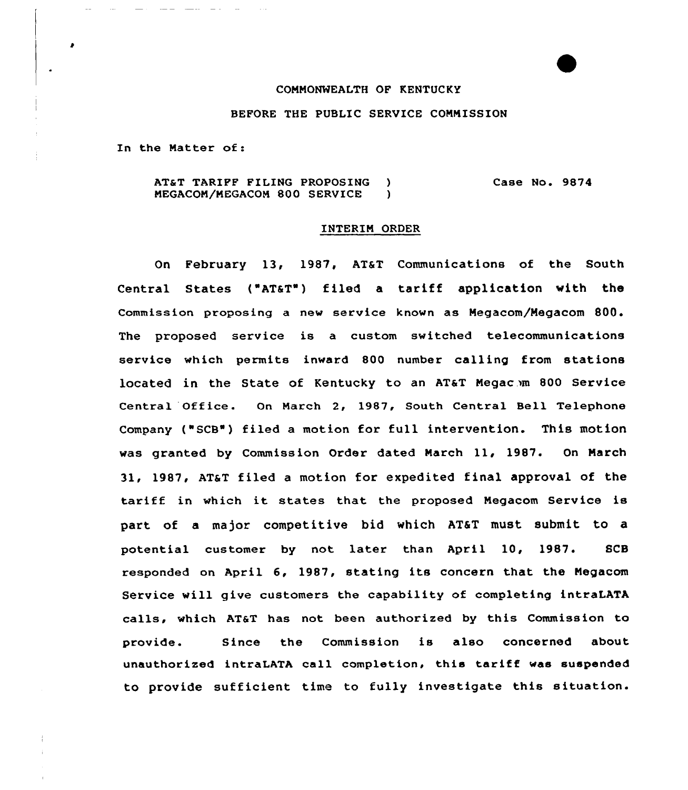## COMMONWEALTH OF KENTUCKY

## BEFORE THE PUBLIC SERVICE COMMISSION

In the Natter of:

2000 - 2000 - 2000

AT&T TARIFF FILING PROPOSING )<br>MEGACOM/MEGACOM 800 SERVICE ) MEGACOM/MEGACOM 800 SERVICE Case No. 9874

## INTERIM ORDER

On February 13, 1987, AT&T Communications of the South Central States ("ATaT") filed a tariff application with the Commission proposing a new service known as Megacom/Negacom 800. The proposed service is a custom switched telecommunications service which permits inward 800 number calling from stations located in the State of Kentucky to an AT&T Megac.m 800 Service Central Office. On March 2, 1987, South Central Bell Telephone Company ("SCB') filed a motion for full intervention. This motion was granted by Commission Order dated Narch 11, 1987. On March 31, 1987, AT&T filed a motion for expedited final approval of the tariff in which it states that the proposed Negacom Service is part of a major competitive bid which AT&T must submit to a potential customer by not later than April 10, 1987. SCB responded on April 6, 1987, stating its concern that the Negacom Service will give customers the capability of completing intraLATA calls, which AT&T has not been authorized by this Commission to provide. Since the Commission is also concerned about unauthorized intraLATA call completion, this tariff was suspended to provide sufficient time to fully investigate this situation.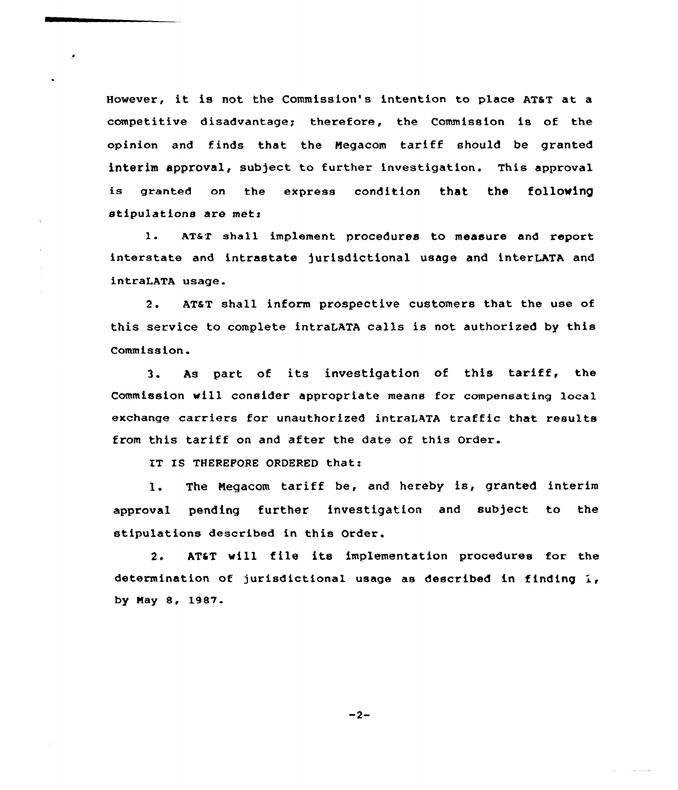However, it is not the Commission's intention to place AT&T at a competitive disadvantage; therefore, the Commission is of the opinion and finds that the Megacom tariff should be granted interim approval, subject to further investigation. This approval is granted on the express condition that the following stipulations are met:

1. AT&T shall implement procedures to measure and report interstate and intrastate jurisdictional usage and interLATA and intraLATA usage.

2. AT&T shall inform prospective customers that the use of this service to complete intraLATA calls is not authorized by this Comm iss ion.

3. As part of its investigation of this tariff, the Commission will consider appropriate means for compensating local exchange carriers for unauthorized intraLATA traffic that results from this tariff on and after the date of this Order.

IT IS THEREFORE ORDERED that:

1. The Negacom tariff be, and hereby is, granted interim approval pending further investigation and subject to the stipulations described in this Order.

2. AT&T will file its implementation procedures for the determination of jurisdictional usage as described in finding  $i$ , by May 8, 1987.

 $-2-$ 

التارينا البرازيان